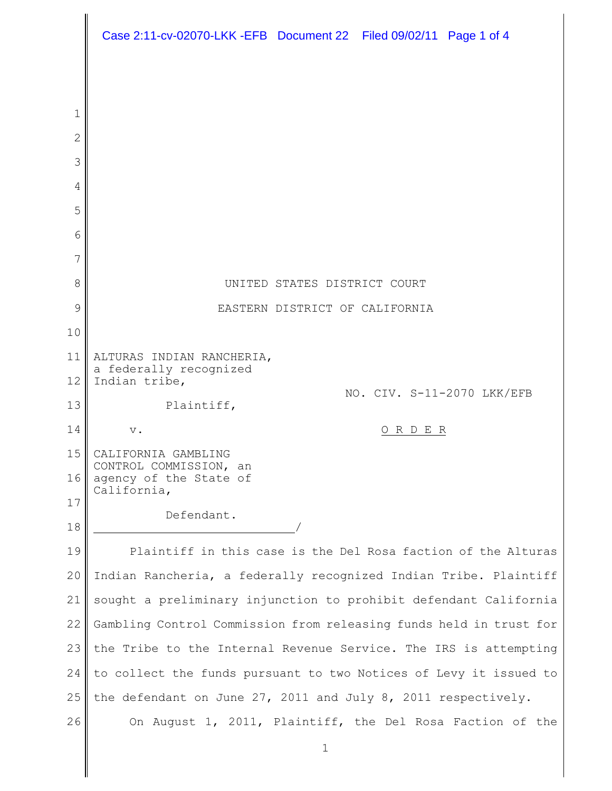|        | Case 2:11-cv-02070-LKK -EFB Document 22 Filed 09/02/11 Page 1 of 4 |
|--------|--------------------------------------------------------------------|
|        |                                                                    |
|        |                                                                    |
| 1<br>2 |                                                                    |
| 3      |                                                                    |
| 4      |                                                                    |
| 5      |                                                                    |
| 6      |                                                                    |
| 7      |                                                                    |
| 8      | UNITED STATES DISTRICT COURT                                       |
| 9      | EASTERN DISTRICT OF CALIFORNIA                                     |
| 10     |                                                                    |
| 11     | ALTURAS INDIAN RANCHERIA,<br>a federally recognized                |
| 12     | Indian tribe,<br>NO. CIV. S-11-2070 LKK/EFB                        |
| 13     | Plaintiff,                                                         |
| 14     | R D E R<br>$\mathbf v$ .                                           |
| 15     | CALIFORNIA GAMBLING<br>CONTROL COMMISSION, an                      |
| 16     | agency of the State of<br>California,                              |
| 17     | Defendant.                                                         |
| 18     |                                                                    |
| 19     | Plaintiff in this case is the Del Rosa faction of the Alturas      |
| 20     | Indian Rancheria, a federally recognized Indian Tribe. Plaintiff   |
| 21     | sought a preliminary injunction to prohibit defendant California   |
| 22     | Gambling Control Commission from releasing funds held in trust for |
| 23     | the Tribe to the Internal Revenue Service. The IRS is attempting   |
| 24     | to collect the funds pursuant to two Notices of Levy it issued to  |
| 25     | the defendant on June 27, 2011 and July 8, 2011 respectively.      |
| 26     | On August 1, 2011, Plaintiff, the Del Rosa Faction of the          |
|        | $\mathbf 1$                                                        |
|        |                                                                    |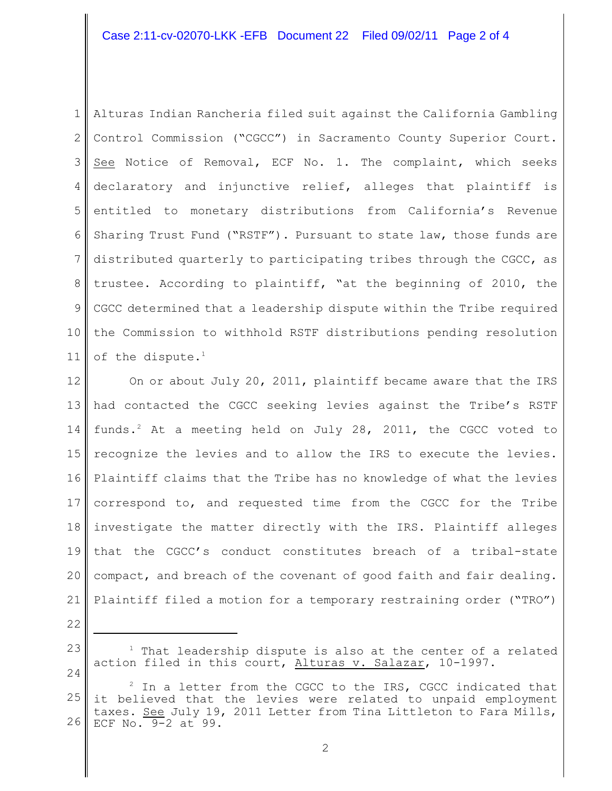## Case 2:11-cv-02070-LKK -EFB Document 22 Filed 09/02/11 Page 2 of 4

1 2 3 4 5 6 7 8 9 10 11 Alturas Indian Rancheria filed suit against the California Gambling Control Commission ("CGCC") in Sacramento County Superior Court. See Notice of Removal, ECF No. 1. The complaint, which seeks declaratory and injunctive relief, alleges that plaintiff is entitled to monetary distributions from California's Revenue Sharing Trust Fund ("RSTF"). Pursuant to state law, those funds are distributed quarterly to participating tribes through the CGCC, as trustee. According to plaintiff, "at the beginning of 2010, the CGCC determined that a leadership dispute within the Tribe required the Commission to withhold RSTF distributions pending resolution of the dispute. $1$ 

12 13 14 15 16 17 18 19 20 21 On or about July 20, 2011, plaintiff became aware that the IRS had contacted the CGCC seeking levies against the Tribe's RSTF funds.<sup>2</sup> At a meeting held on July 28, 2011, the CGCC voted to recognize the levies and to allow the IRS to execute the levies. Plaintiff claims that the Tribe has no knowledge of what the levies correspond to, and requested time from the CGCC for the Tribe investigate the matter directly with the IRS. Plaintiff alleges that the CGCC's conduct constitutes breach of a tribal-state compact, and breach of the covenant of good faith and fair dealing. Plaintiff filed a motion for a temporary restraining order ("TRO")

22

23

24

 $1$  That leadership dispute is also at the center of a related action filed in this court, Alturas v. Salazar, 10-1997.

<sup>25</sup> 26  $2$  In a letter from the CGCC to the IRS, CGCC indicated that it believed that the levies were related to unpaid employment taxes. See July 19, 2011 Letter from Tina Littleton to Fara Mills, ECF No. 9-2 at 99.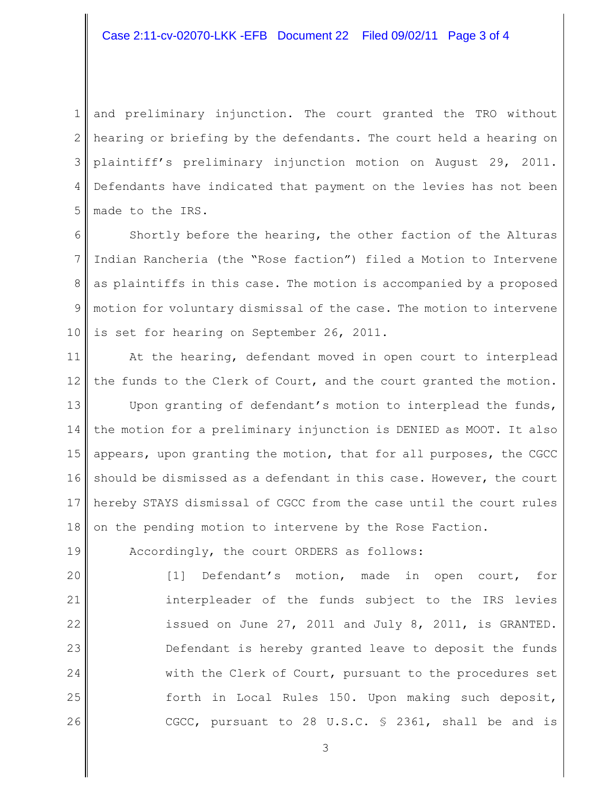## Case 2:11-cv-02070-LKK -EFB Document 22 Filed 09/02/11 Page 3 of 4

1 2 3 4 5 and preliminary injunction. The court granted the TRO without hearing or briefing by the defendants. The court held a hearing on plaintiff's preliminary injunction motion on August 29, 2011. Defendants have indicated that payment on the levies has not been made to the IRS.

6 7 8 9 10 Shortly before the hearing, the other faction of the Alturas Indian Rancheria (the "Rose faction") filed a Motion to Intervene as plaintiffs in this case. The motion is accompanied by a proposed motion for voluntary dismissal of the case. The motion to intervene is set for hearing on September 26, 2011.

11 12 At the hearing, defendant moved in open court to interplead the funds to the Clerk of Court, and the court granted the motion.

13 14 15 16 17 18 Upon granting of defendant's motion to interplead the funds, the motion for a preliminary injunction is DENIED as MOOT. It also appears, upon granting the motion, that for all purposes, the CGCC should be dismissed as a defendant in this case. However, the court hereby STAYS dismissal of CGCC from the case until the court rules on the pending motion to intervene by the Rose Faction.

Accordingly, the court ORDERS as follows:

19

20 21 22 23 24 25 26 [1] Defendant's motion, made in open court, for interpleader of the funds subject to the IRS levies issued on June 27, 2011 and July 8, 2011, is GRANTED. Defendant is hereby granted leave to deposit the funds with the Clerk of Court, pursuant to the procedures set forth in Local Rules 150. Upon making such deposit, CGCC, pursuant to 28 U.S.C. § 2361, shall be and is

3